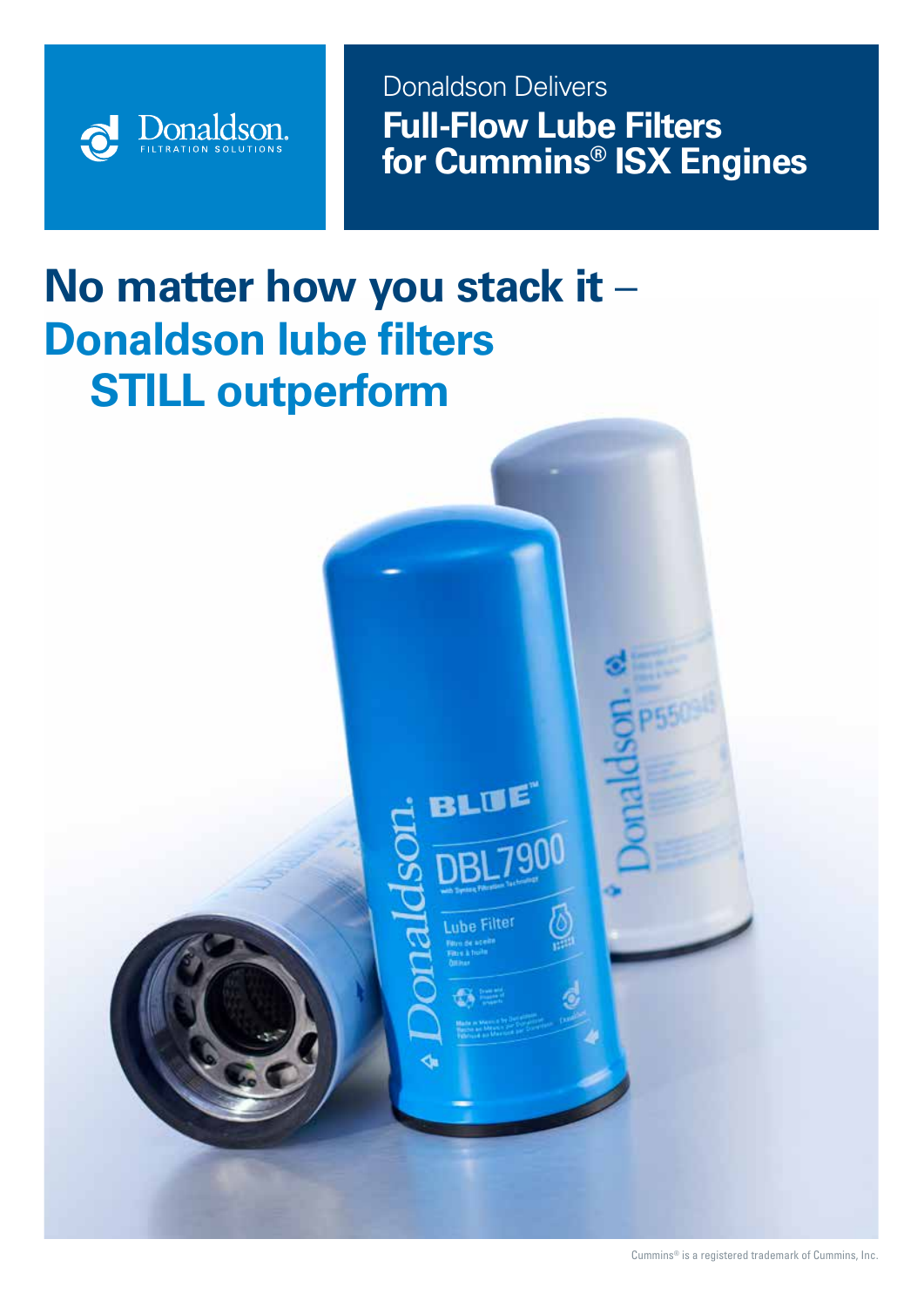

**Front Convention Front Convention**<br> **Front Property Cover Full-Flow Lube Filters for Cummins® ISX Engines** Donaldson Delivers

# **No matter how you stack it** – **Donaldson lube filters STILL outperform**

BLUE

uhe Filter

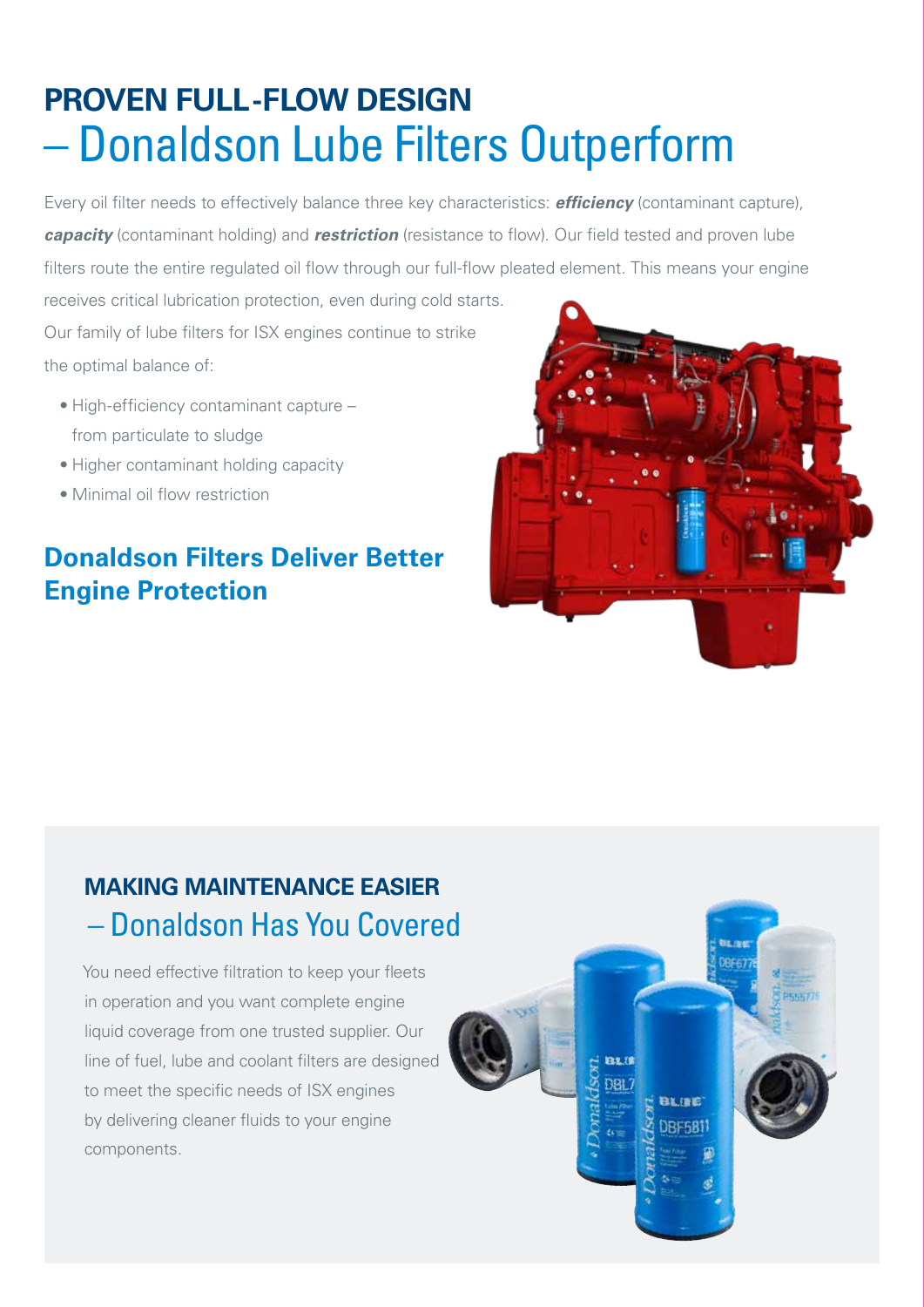## **PROVEN FULL -FLOW DESIGN**  – Donaldson Lube Filters Outperform

Every oil filter needs to effectively balance three key characteristics: *efficiency* (contaminant capture), *capacity* (contaminant holding) and *restriction* (resistance to flow). Our field tested and proven lube filters route the entire regulated oil flow through our full-flow pleated element. This means your engine

receives critical lubrication protection, even during cold starts. Our family of lube filters for ISX engines continue to strike the optimal balance of:

- High-efficiency contaminant capture from particulate to sludge
- Higher contaminant holding capacity
- Minimal oil flow restriction

#### **Donaldson Filters Deliver Better Engine Protection**



#### **MAKING MAINTENANCE EASIER**  – Donaldson Has You Covered

You need effective filtration to keep your fleets in operation and you want complete engine liquid coverage from one trusted supplier. Our line of fuel, lube and coolant filters are designed to meet the specific needs of ISX engines by delivering cleaner fluids to your engine components.

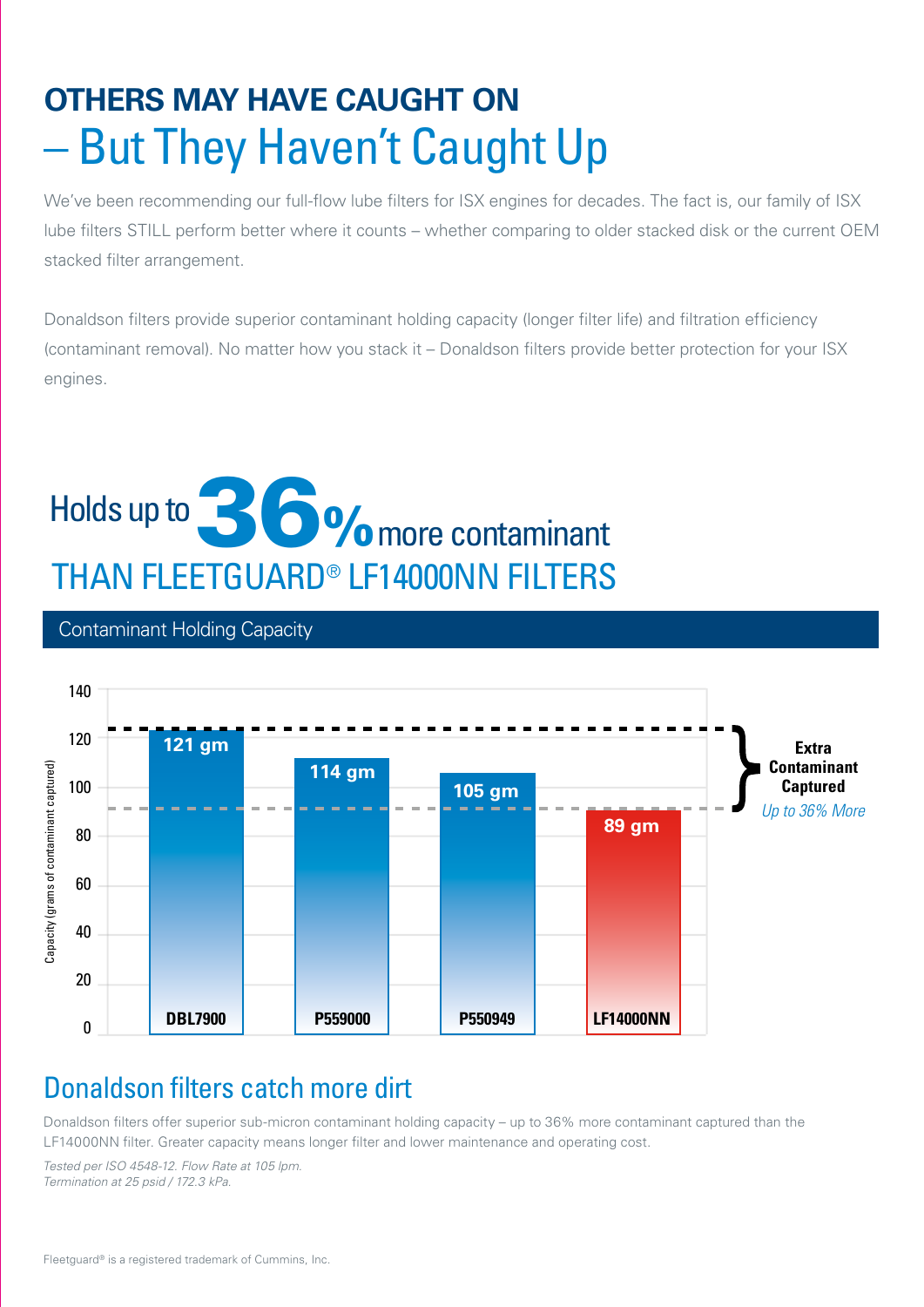## **OTHERS MAY HAVE CAUGHT ON**  – But They Haven't Caught Up

We've been recommending our full-flow lube filters for ISX engines for decades. The fact is, our family of ISX lube filters STILL perform better where it counts – whether comparing to older stacked disk or the current OEM stacked filter arrangement.

Donaldson filters provide superior contaminant holding capacity (longer filter life) and filtration efficiency (contaminant removal). No matter how you stack it – Donaldson filters provide better protection for your ISX engines.

### November 2015 Capacity Holds up to **1990 More Contaminant**  THAN FLEETGUARD® LF14000NN FILTERS 36%

#### Contaminant Holding Capacity



#### Donaldson filters catch more dirt

Donaldson filters offer superior sub-micron contaminant holding capacity – up to 36% more contaminant captured than the LF14000NN filter. Greater capacity means longer filter and lower maintenance and operating cost.

*Tested per ISO 4548-12. Flow Rate at 105 lpm. Termination at 25 psid / 172.3 kPa.*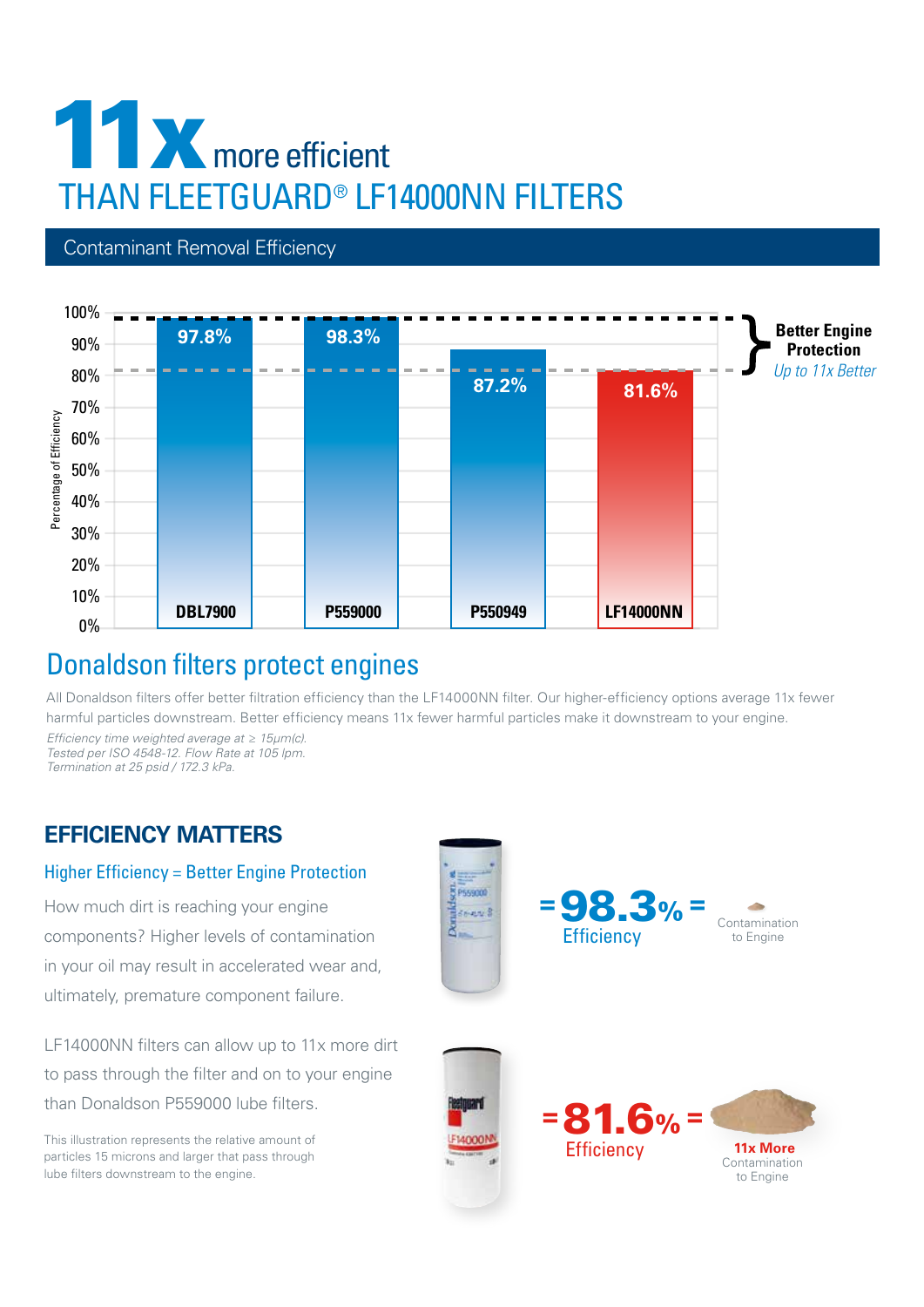### THAN FLEETGUARD<sup>®</sup> LF14000NN FILTERS **11x THAN FLEETGUARD® LF14000NN FILTERS** more efficient

#### Contaminant Removal Efficiency



#### Donaldson filters protect engines

All Donaldson filters offer better filtration efficiency than the LF14000NN filter. Our higher-efficiency options average 11x fewer harmful particles downstream. Better efficiency means 11x fewer harmful particles make it downstream to your engine.

*Efficiency time weighted average at ≥ 15µm(c). Tested per ISO 4548-12. Flow Rate at 105 lpm. Termination at 25 psid / 172.3 kPa.* 

#### **EFFICIENCY MATTERS**

#### Higher Efficiency = Better Engine Protection

How much dirt is reaching your engine components? Higher levels of contamination in your oil may result in accelerated wear and, ultimately, premature component failure.

LF14000NN filters can allow up to 11x more dirt to pass through the filter and on to your engine than Donaldson P559000 lube filters.

particles 15 microns and larger that pass through lube filters downstream to the engine.

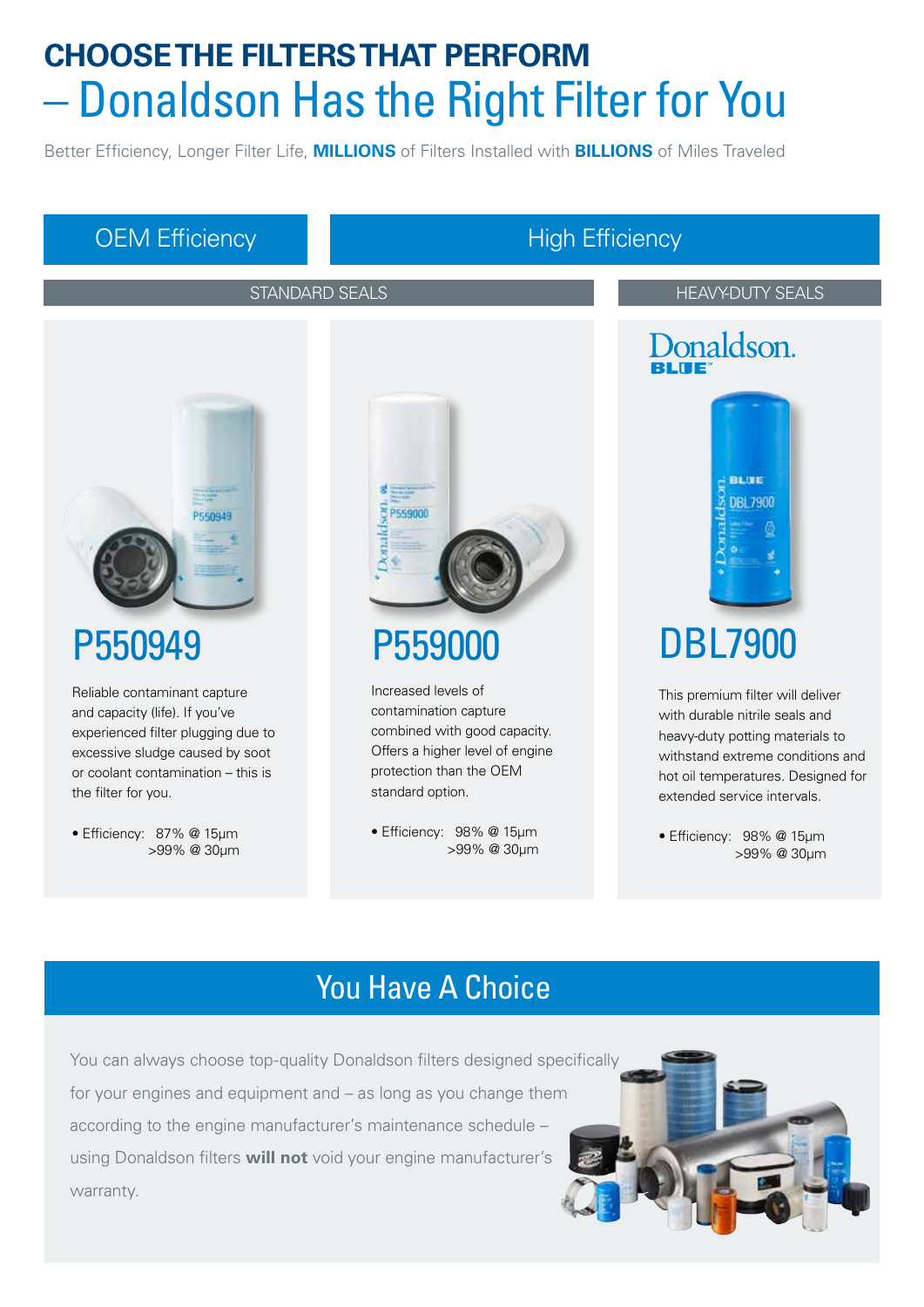### **CHOOSE THE FILTERS THAT PERFORM**  – Donaldson Has the Right Filter for You

Better Efficiency, Longer Filter Life, **MILLIONS** of Filters Installed with **BILLIONS** of Miles Traveled

#### OEM Efficiency High Efficiency

P550949

the filter for you.

Reliable contaminant capture and capacity (life). If you've experienced filter plugging due to excessive sludge caused by soot or coolant contamination – this is

• Efficiency: 87% @ 15μm

>99% @ 30μm

PERNOAS

STANDARD SEALS AND THEAVY-DUTY SEALS

## Donaldson.



### DBL7900

This premium filter will deliver with durable nitrile seals and heavy-duty potting materials to withstand extreme conditions and hot oil temperatures. Designed for extended service intervals.

• Efficiency: 98% @ 15μm >99% @ 30μm

### You Have A Choice

P559000

P559000

Increased levels of contamination capture combined with good capacity. Offers a higher level of engine protection than the OEM

standard option.

• Efficiency: 98% @ 15μm

>99% @ 30μm

You can always choose top-quality Donaldson filters designed specifically for your engines and equipment and – as long as you change them according to the engine manufacturer's maintenance schedule – using Donaldson filters **will not** void your engine manufacturer's warranty.